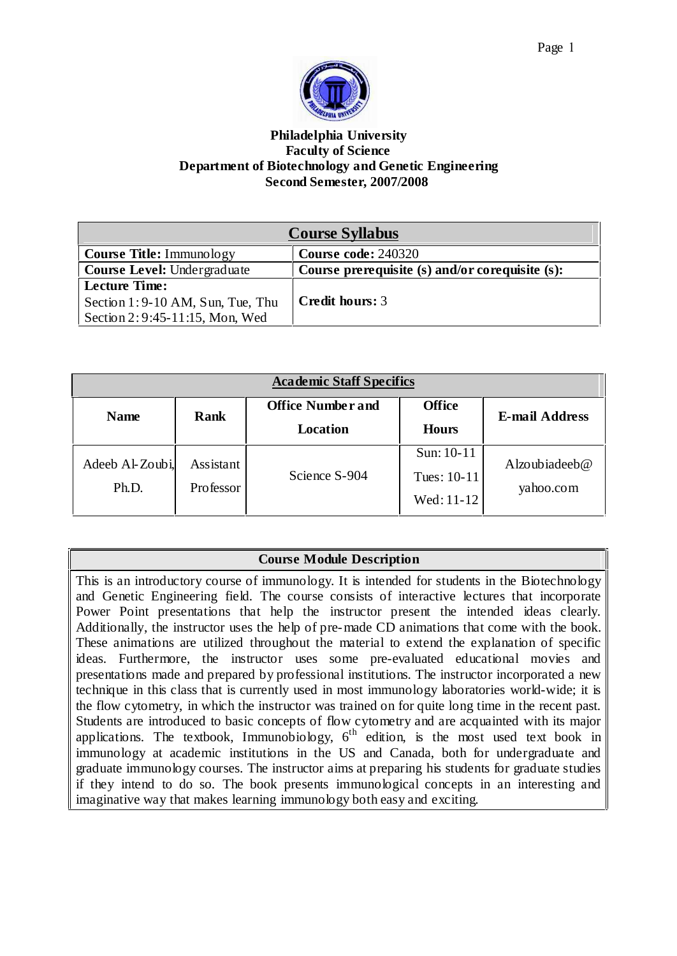

### **Philadelphia University Faculty of Science Department of Biotechnology and Genetic Engineering Second Semester, 2007/2008**

| <b>Course Syllabus</b>                                                                      |                                                 |  |
|---------------------------------------------------------------------------------------------|-------------------------------------------------|--|
| <b>Course Title:</b> Immunology                                                             | <b>Course code: 240320</b>                      |  |
| <b>Course Level: Undergraduate</b>                                                          | Course prerequisite (s) and/or corequisite (s): |  |
| <b>Lecture Time:</b><br>Section 1:9-10 AM, Sun, Tue, Thu<br>Section 2: 9:45-11:15, Mon, Wed | <b>Credit hours: 3</b>                          |  |

| <b>Academic Staff Specifics</b> |           |                          |               |                       |
|---------------------------------|-----------|--------------------------|---------------|-----------------------|
| <b>Name</b>                     | Rank      | <b>Office Number and</b> | <b>Office</b> | <b>E-mail Address</b> |
|                                 |           | <b>Location</b>          | <b>Hours</b>  |                       |
| Adeeb Al-Zoubi,                 | Assistant |                          | Sun: $10-11$  | Alzoubiadeeb@         |
| Ph.D.                           | Professor | Science S-904            | Tues: $10-11$ | yahoo.com             |
|                                 |           |                          | Wed: 11-12    |                       |

## **Course Module Description**

This is an introductory course of immunology. It is intended for students in the Biotechnology and Genetic Engineering field. The course consists of interactive lectures that incorporate Power Point presentations that help the instructor present the intended ideas clearly. Additionally, the instructor uses the help of pre-made CD animations that come with the book. These animations are utilized throughout the material to extend the explanation of specific ideas. Furthermore, the instructor uses some pre-evaluated educational movies and presentations made and prepared by professional institutions. The instructor incorporated a new technique in this class that is currently used in most immunology laboratories world-wide; it is the flow cytometry, in which the instructor was trained on for quite long time in the recent past. Students are introduced to basic concepts of flow cytometry and are acquainted with its major applications. The textbook, Immunobiology,  $6<sup>th</sup>$  edition, is the most used text book in immunology at academic institutions in the US and Canada, both for undergraduate and graduate immunology courses. The instructor aims at preparing his students for graduate studies if they intend to do so. The book presents immunological concepts in an interesting and imaginative way that makes learning immunology both easy and exciting.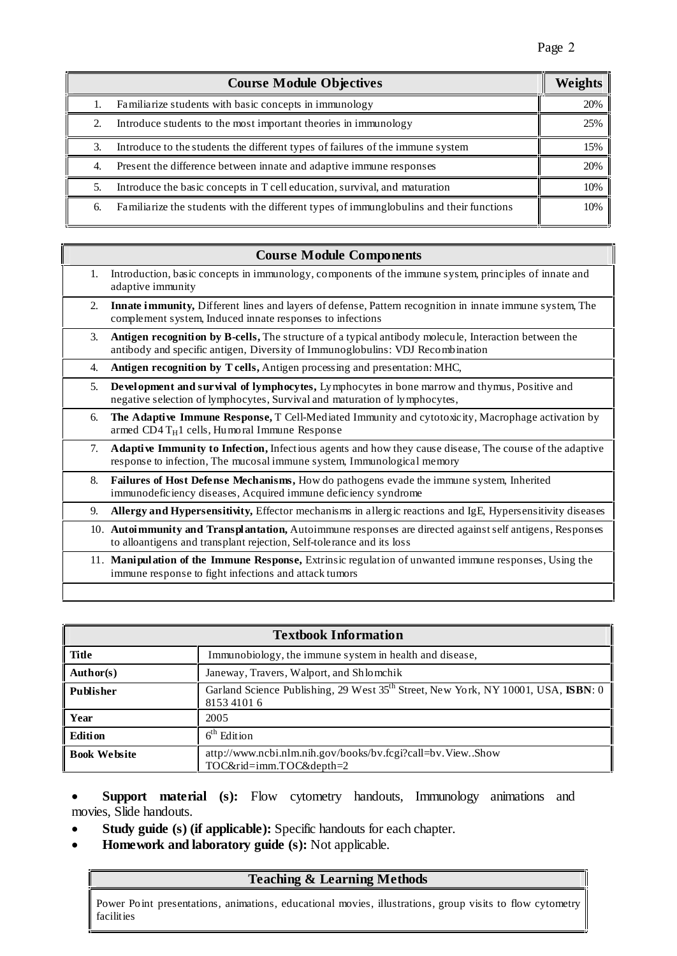|    | <b>Course Module Objectives</b>                                                         | Weights |
|----|-----------------------------------------------------------------------------------------|---------|
|    | Familiarize students with basic concepts in immunology                                  | 20%     |
|    | Introduce students to the most important theories in immunology                         | 25%     |
| 3. | Introduce to the students the different types of failures of the immune system          | 15%     |
| 4. | Present the difference between innate and adaptive immune responses                     | 20%     |
|    | Introduce the basic concepts in T cell education, survival, and maturation              | 10%     |
| 6. | Familiarize the students with the different types of immunglobulins and their functions | 10%     |

#### **Course Module Components**

| 1. | Introduction, basic concepts in immunology, components of the immune system, principles of innate and<br>adaptive immunity                                                              |
|----|-----------------------------------------------------------------------------------------------------------------------------------------------------------------------------------------|
| 2. | <b>Innate immunity,</b> Different lines and layers of defense, Pattern recognition in innate immune system, The<br>complement system, Induced innate responses to infections            |
| 3. | Antigen recognition by B-cells, The structure of a typical antibody molecule, Interaction between the<br>antibody and specific antigen, Diversity of Immunoglobulins: VDJ Recombination |
| 4. | Antigen recognition by T cells, Antigen processing and presentation: MHC,                                                                                                               |
| 5. | Development and survival of lymphocytes, Lymphocytes in bone marrow and thymus, Positive and<br>negative selection of lymphocytes, Survival and maturation of lymphocytes,              |
| 6. | The Adaptive Immune Response, T Cell-Mediated Immunity and cytotoxicity, Macrophage activation by<br>armed CD4 $T_H1$ cells, Humoral Immune Response                                    |
| 7. | Adaptive Immunity to Infection, Infectious agents and how they cause disease, The course of the adaptive<br>response to infection, The mucosal immune system, Immunological memory      |
| 8. | Failures of Host Defense Mechanisms, How do pathogens evade the immune system, Inherited<br>immunodeficiency diseases, Acquired immune deficiency syndrome                              |
| 9. | Allergy and Hypersensitivity, Effector mechanisms in allergic reactions and IgE, Hypersensitivity diseases                                                                              |
|    | 10. Autoimmunity and Transplantation, Autoimmune responses are directed against self antigens, Responses<br>to alloantigens and transplant rejection, Self-tolerance and its loss       |
|    | 11. Manipulation of the Immune Response, Extrinsic regulation of unwanted immune responses, Using the<br>immune response to fight infections and attack tumors                          |
|    |                                                                                                                                                                                         |

| <b>Textbook Information</b> |                                                                                                              |  |  |
|-----------------------------|--------------------------------------------------------------------------------------------------------------|--|--|
| Title                       | Immunobiology, the immune system in health and disease,                                                      |  |  |
| Author(s)                   | Janeway, Travers, Walport, and Shlomchik                                                                     |  |  |
| Publisher                   | Garland Science Publishing, 29 West 35 <sup>th</sup> Street, New York, NY 10001, USA, ISBN: 0<br>8153 4101 6 |  |  |
| <b>Year</b>                 | 2005                                                                                                         |  |  |
| <b>Edition</b>              | $6th$ Edition                                                                                                |  |  |
| <b>Book Website</b>         | attp://www.ncbi.nlm.nih.gov/books/bv.fcgi?call=bv.View.Show<br>TOC&rid=imm.TOC&depth=2                       |  |  |

 **Support material (s):** Flow cytometry handouts, Immunology animations and movies, Slide handouts.

- **Study guide (s) (if applicable):** Specific handouts for each chapter.
- **Homework and laboratory guide (s):** Not applicable.

## **Teaching & Learning Methods**

Power Point presentations, animations, educational movies, illustrations, group visits to flow cytometry facilities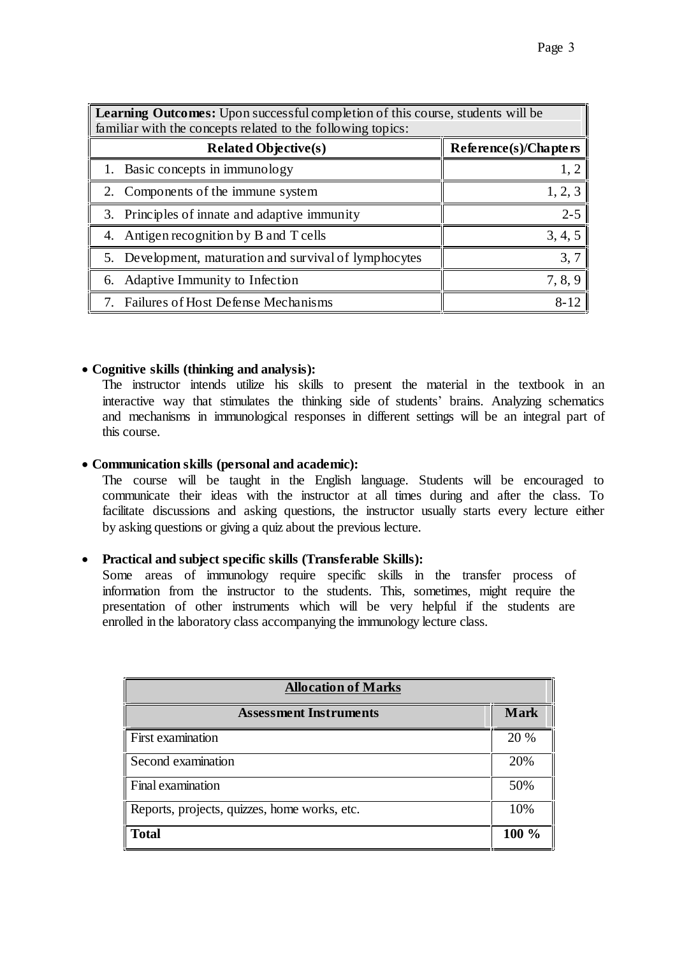| <b>Learning Outcomes:</b> Upon successful completion of this course, students will be |                          |  |
|---------------------------------------------------------------------------------------|--------------------------|--|
| familiar with the concepts related to the following topics:                           |                          |  |
| <b>Related Objective(s)</b>                                                           | $Reference(s)/Chapte$ rs |  |
| 1. Basic concepts in immunology                                                       |                          |  |
| 2. Components of the immune system                                                    | 1, 2, 3                  |  |
| 3. Principles of innate and adaptive immunity                                         | $2 - 5$                  |  |
| 4. Antigen recognition by B and T cells                                               | 3, 4, 5                  |  |
| 5. Development, maturation and survival of lymphocytes                                | 3,7                      |  |
| 6. Adaptive Immunity to Infection                                                     | 7, 8, 9                  |  |
| 7. Failures of Host Defense Mechanisms                                                |                          |  |

#### **Cognitive skills (thinking and analysis):**

The instructor intends utilize his skills to present the material in the textbook in an interactive way that stimulates the thinking side of students' brains. Analyzing schematics and mechanisms in immunological responses in different settings will be an integral part of this course.

#### **Communication skills (personal and academic):**

The course will be taught in the English language. Students will be encouraged to communicate their ideas with the instructor at all times during and after the class. To facilitate discussions and asking questions, the instructor usually starts every lecture either by asking questions or giving a quiz about the previous lecture.

### **Practical and subject specific skills (Transferable Skills):**

Some areas of immunology require specific skills in the transfer process of information from the instructor to the students. This, sometimes, might require the presentation of other instruments which will be very helpful if the students are enrolled in the laboratory class accompanying the immunology lecture class.

| <b>Allocation of Marks</b>                   |             |  |
|----------------------------------------------|-------------|--|
| <b>Assessment Instruments</b>                | <b>Mark</b> |  |
| First examination                            | 20 %        |  |
| Second examination                           | 20%         |  |
| Final examination                            | 50%         |  |
| Reports, projects, quizzes, home works, etc. | 10%         |  |
| <b>Total</b>                                 | 100 %       |  |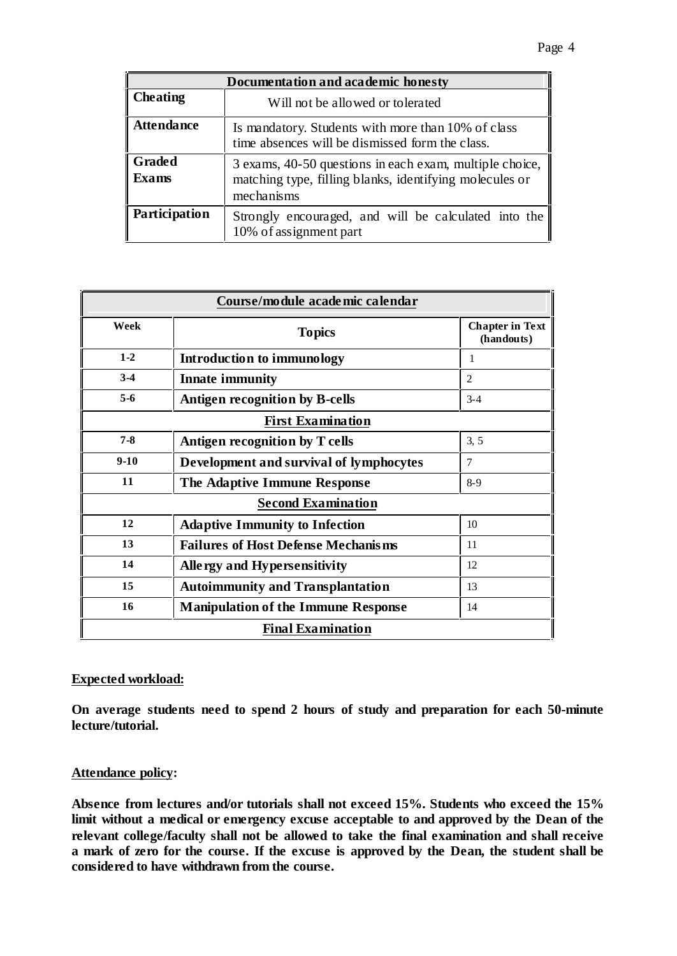| Documentation and academic honesty |                                                                                                                                  |  |  |
|------------------------------------|----------------------------------------------------------------------------------------------------------------------------------|--|--|
| <b>Cheating</b>                    | Will not be allowed or tolerated                                                                                                 |  |  |
| <b>Attendance</b>                  | Is mandatory. Students with more than 10% of class<br>time absences will be dismissed form the class.                            |  |  |
| <b>Graded</b><br><b>Exams</b>      | 3 exams, 40-50 questions in each exam, multiple choice,<br>matching type, filling blanks, identifying molecules or<br>mechanisms |  |  |
| Participation                      | Strongly encouraged, and will be calculated into the<br>10% of assignment part                                                   |  |  |

| Course/module academic calendar |                                            |                                      |  |
|---------------------------------|--------------------------------------------|--------------------------------------|--|
| Week                            | <b>Topics</b>                              | <b>Chapter in Text</b><br>(handouts) |  |
| $1 - 2$                         | Introduction to immunology                 | 1                                    |  |
| $3-4$                           | <b>Innate immunity</b>                     | $\overline{2}$                       |  |
| $5-6$                           | <b>Antigen recognition by B-cells</b>      | $3 - 4$                              |  |
| <b>First Examination</b>        |                                            |                                      |  |
| $7 - 8$                         | Antigen recognition by T cells             | 3, 5                                 |  |
| $9-10$                          | Development and survival of lymphocytes    | $\tau$                               |  |
| 11                              | The Adaptive Immune Response               | $8-9$                                |  |
| <b>Second Examination</b>       |                                            |                                      |  |
| 12                              | <b>Adaptive Immunity to Infection</b>      | 10                                   |  |
| 13                              | <b>Failures of Host Defense Mechanisms</b> | 11                                   |  |
| 14                              | Allergy and Hypersensitivity               | 12                                   |  |
| 15                              | <b>Autoimmunity and Transplantation</b>    | 13                                   |  |
| 16                              | <b>Manipulation of the Immune Response</b> | 14                                   |  |
| <b>Final Examination</b>        |                                            |                                      |  |

### **Expected workload:**

**On average students need to spend 2 hours of study and preparation for each 50-minute lecture/tutorial.**

#### **Attendance policy:**

**Absence from lectures and/or tutorials shall not exceed 15%. Students who exceed the 15% limit without a medical or emergency excuse acceptable to and approved by the Dean of the relevant college/faculty shall not be allowed to take the final examination and shall receive a mark of zero for the course. If the excuse is approved by the Dean, the student shall be considered to have withdrawn from the course.**